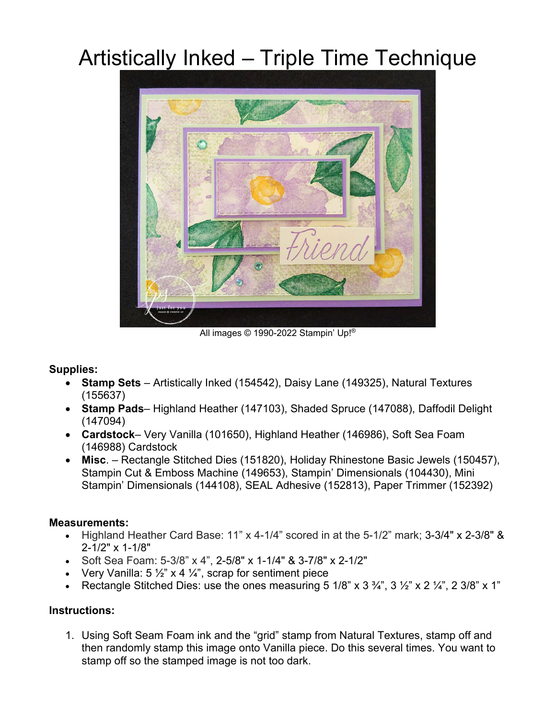## Artistically Inked – Triple Time Technique



All images © 1990-2022 Stampin' Up!®

## **Supplies:**

- **Stamp Sets** Artistically Inked (154542), Daisy Lane (149325), Natural Textures (155637)
- **Stamp Pads** Highland Heather (147103), Shaded Spruce (147088), Daffodil Delight (147094)
- **Cardstock** Very Vanilla (101650), Highland Heather (146986), Soft Sea Foam (146988) Cardstock
- **Misc**. Rectangle Stitched Dies (151820), Holiday Rhinestone Basic Jewels (150457), Stampin Cut & Emboss Machine (149653), Stampin' Dimensionals (104430), Mini Stampin' Dimensionals (144108), SEAL Adhesive (152813), Paper Trimmer (152392)

## **Measurements:**

- Highland Heather Card Base: 11" x 4-1/4" scored in at the 5-1/2" mark; 3-3/4" x 2-3/8" & 2-1/2" x 1-1/8"
- Soft Sea Foam: 5-3/8" x 4", 2-5/8" x 1-1/4" & 3-7/8" x 2-1/2"
- Very Vanilla:  $5\frac{1}{2}$ " x 4  $\frac{1}{4}$ ", scrap for sentiment piece
- Rectangle Stitched Dies: use the ones measuring  $5 \frac{1}{8}$  x  $3 \frac{3}{4}$ ,  $3 \frac{1}{2}$  x  $2 \frac{1}{4}$ ,  $2 \frac{3}{8}$  x  $1$ "

## **Instructions:**

1. Using Soft Seam Foam ink and the "grid" stamp from Natural Textures, stamp off and then randomly stamp this image onto Vanilla piece. Do this several times. You want to stamp off so the stamped image is not too dark.